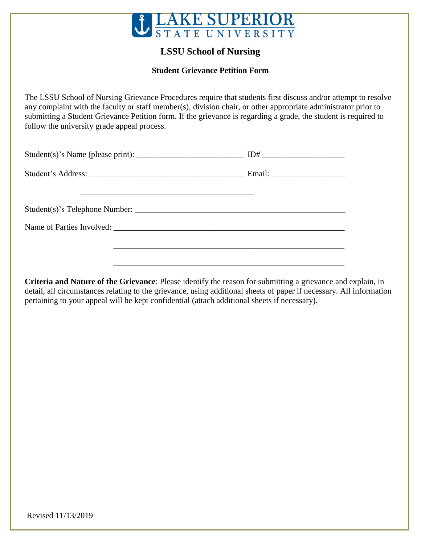

## **LSSU School of Nursing**

## **Student Grievance Petition Form**

The LSSU School of Nursing Grievance Procedures require that students first discuss and/or attempt to resolve any complaint with the faculty or staff member(s), division chair, or other appropriate administrator prior to submitting a Student Grievance Petition form. If the grievance is regarding a grade, the student is required to follow the university grade appeal process.

**Criteria and Nature of the Grievance**: Please identify the reason for submitting a grievance and explain, in detail, all circumstances relating to the grievance, using additional sheets of paper if necessary. All information pertaining to your appeal will be kept confidential (attach additional sheets if necessary).